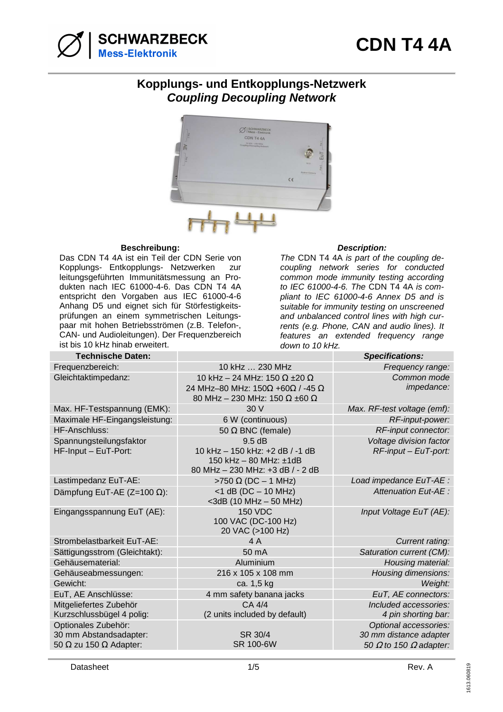

## **Kopplungs- und Entkopplungs-Netzwerk Coupling Decoupling Network**



## **Beschreibung: Description:**

Das CDN T4 4A ist ein Teil der CDN Serie von Kopplungs- Entkopplungs- Netzwerken zur leitungsgeführten Immunitätsmessung an Produkten nach IEC 61000-4-6. Das CDN T4 4A entspricht den Vorgaben aus IEC 61000-4-6 Anhang D5 und eignet sich für Störfestigkeitsprüfungen an einem symmetrischen Leitungspaar mit hohen Betriebsströmen (z.B. Telefon-, CAN- und Audioleitungen). Der Frequenzbereich ist bis 10 kHz hinab erweitert.

The CDN T4 4A is part of the coupling decoupling network series for conducted common mode immunity testing according to IEC 61000-4-6. The CDN T4 4A is compliant to IEC 61000-4-6 Annex D5 and is suitable for immunity testing on unscreened and unbalanced control lines with high currents (e.g. Phone, CAN and audio lines). It features an extended frequency range down to 10 kHz.

| <b>Technische Daten:</b>             |                                             | <b>Specifications:</b>               |
|--------------------------------------|---------------------------------------------|--------------------------------------|
| Frequenzbereich:                     | 10 kHz  230 MHz                             | Frequency range:                     |
| Gleichtaktimpedanz:                  | 10 kHz - 24 MHz: 150 $\Omega$ ±20 $\Omega$  | Common mode                          |
|                                      | 24 MHz-80 MHz: 150Ω +60Ω / -45 Ω            | impedance:                           |
|                                      | 80 MHz - 230 MHz: 150 $\Omega$ ±60 $\Omega$ |                                      |
| Max. HF-Testspannung (EMK):          | 30V                                         | Max. RF-test voltage (emf):          |
| Maximale HF-Eingangsleistung:        | 6 W (continuous)                            | RF-input-power:                      |
| HF-Anschluss:                        | 50 $\Omega$ BNC (female)                    | RF-input connector:                  |
| Spannungsteilungsfaktor              | 9.5dB                                       | Voltage division factor              |
| HF-Input - EuT-Port:                 | 10 kHz - 150 kHz: +2 dB / -1 dB             | RF-input - EuT-port:                 |
|                                      | 150 kHz - 80 MHz: ±1dB                      |                                      |
|                                      | 80 MHz - 230 MHz: +3 dB / - 2 dB            |                                      |
| Lastimpedanz EuT-AE:                 | $>750 \Omega$ (DC - 1 MHz)                  | Load impedance EuT-AE :              |
| Dämpfung EuT-AE (Z=100 $\Omega$ ):   | $<$ 1 dB (DC $-$ 10 MHz)                    | Attenuation Eut-AE :                 |
|                                      | <3dB (10 MHz - 50 MHz)<br><b>150 VDC</b>    |                                      |
| Eingangsspannung EuT (AE):           | 100 VAC (DC-100 Hz)                         | Input Voltage EuT (AE):              |
|                                      | 20 VAC (>100 Hz)                            |                                      |
| Strombelastbarkeit EuT-AE:           | 4 A                                         | Current rating:                      |
| Sättigungsstrom (Gleichtakt):        | 50 mA                                       | Saturation current (CM):             |
| Gehäusematerial:                     | Aluminium                                   | Housing material:                    |
| Gehäuseabmessungen:                  | 216 x 105 x 108 mm                          | Housing dimensions:                  |
| Gewicht:                             | ca. 1,5 kg                                  | Weight:                              |
| EuT, AE Anschlüsse:                  | 4 mm safety banana jacks                    | EuT, AE connectors:                  |
| Mitgeliefertes Zubehör               | CA 4/4                                      | Included accessories:                |
| Kurzschlussbügel 4 polig:            | (2 units included by default)               | 4 pin shorting bar:                  |
| Optionales Zubehör:                  |                                             | Optional accessories:                |
| 30 mm Abstandsadapter:               | SR 30/4                                     | 30 mm distance adapter               |
| 50 $\Omega$ zu 150 $\Omega$ Adapter: | <b>SR 100-6W</b>                            | 50 $\Omega$ to 150 $\Omega$ adapter: |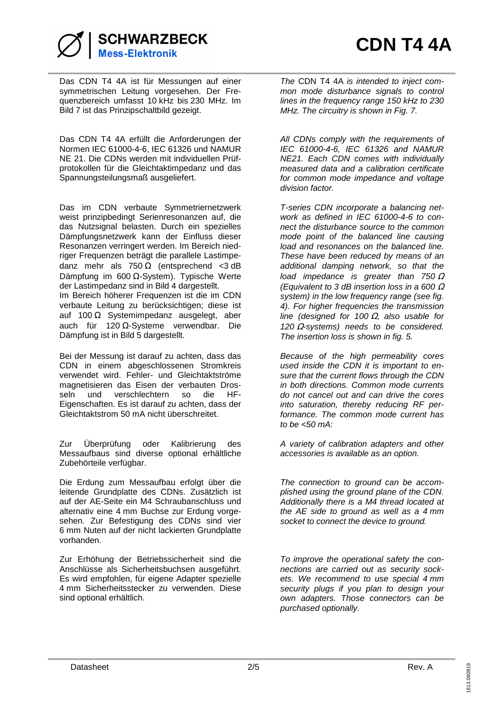

Das CDN T4 4A ist für Messungen auf einer symmetrischen Leitung vorgesehen. Der Frequenzbereich umfasst 10 kHz bis 230 MHz. Im Bild 7 ist das Prinzipschaltbild gezeigt.

Das CDN T4 4A erfüllt die Anforderungen der Normen IEC 61000-4-6, IEC 61326 und NAMUR NE 21. Die CDNs werden mit individuellen Prüfprotokollen für die Gleichtaktimpedanz und das Spannungsteilungsmaß ausgeliefert.

Das im CDN verbaute Symmetriernetzwerk weist prinzipbedingt Serienresonanzen auf, die das Nutzsignal belasten. Durch ein spezielles Dämpfungsnetzwerk kann der Einfluss dieser Resonanzen verringert werden. Im Bereich niedriger Frequenzen beträgt die parallele Lastimpedanz mehr als  $750 \Omega$  (entsprechend <3 dB Dämpfung im 600 Ω-System). Typische Werte der Lastimpedanz sind in Bild 4 dargestellt. Im Bereich höherer Frequenzen ist die im CDN verbaute Leitung zu berücksichtigen; diese ist auf 100  $\Omega$  Systemimpedanz ausgelegt, aber auch für 120 Ω-Systeme verwendbar. Die Dämpfung ist in Bild 5 dargestellt.

Bei der Messung ist darauf zu achten, dass das CDN in einem abgeschlossenen Stromkreis verwendet wird. Fehler- und Gleichtaktströme magnetisieren das Eisen der verbauten Drosseln und verschlechtern so die HF-Eigenschaften. Es ist darauf zu achten, dass der Gleichtaktstrom 50 mA nicht überschreitet.

Zur Überprüfung oder Kalibrierung des Messaufbaus sind diverse optional erhältliche Zubehörteile verfügbar.

Die Erdung zum Messaufbau erfolgt über die leitende Grundplatte des CDNs. Zusätzlich ist auf der AE-Seite ein M4 Schraubanschluss und alternativ eine 4 mm Buchse zur Erdung vorgesehen. Zur Befestigung des CDNs sind vier 6 mm Nuten auf der nicht lackierten Grundplatte vorhanden.

Zur Erhöhung der Betriebssicherheit sind die Anschlüsse als Sicherheitsbuchsen ausgeführt. Es wird empfohlen, für eigene Adapter spezielle 4 mm Sicherheitsstecker zu verwenden. Diese sind optional erhältlich.

The CDN T4 4A is intended to inject common mode disturbance signals to control lines in the frequency range 150 kHz to 230 MHz. The circuitry is shown in Fig. 7.

All CDNs comply with the requirements of IEC 61000-4-6, IEC 61326 and NAMUR NE21. Each CDN comes with individually measured data and a calibration certificate for common mode impedance and voltage division factor.

T-series CDN incorporate a balancing network as defined in IEC 61000-4-6 to connect the disturbance source to the common mode point of the balanced line causing load and resonances on the balanced line. These have been reduced by means of an additional damping network, so that the load impedance is greater than  $750 \Omega$ (Equivalent to 3 dB insertion loss in a 600  $\Omega$ system) in the low frequency range (see fig. 4). For higher frequencies the transmission line (designed for 100  $\Omega$ , also usable for 120  $\Omega$ -systems) needs to be considered. The insertion loss is shown in fig. 5.

Because of the high permeability cores used inside the CDN it is important to ensure that the current flows through the CDN in both directions. Common mode currents do not cancel out and can drive the cores into saturation, thereby reducing RF performance. The common mode current has to be  $<50$  mA:

A variety of calibration adapters and other accessories is available as an option.

The connection to ground can be accomplished using the ground plane of the CDN. Additionally there is a M4 thread located at the AE side to ground as well as a 4 mm socket to connect the device to ground.

To improve the operational safety the connections are carried out as security sockets. We recommend to use special 4 mm security plugs if you plan to design your own adapters. Those connectors can be purchased optionally.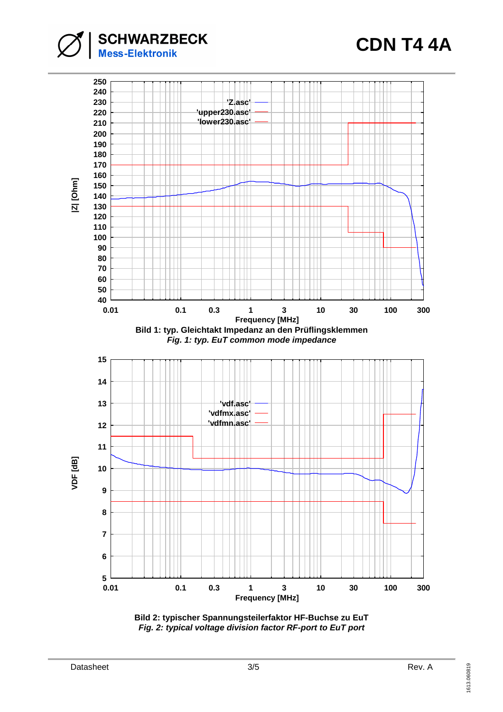**CDN T4 4A**





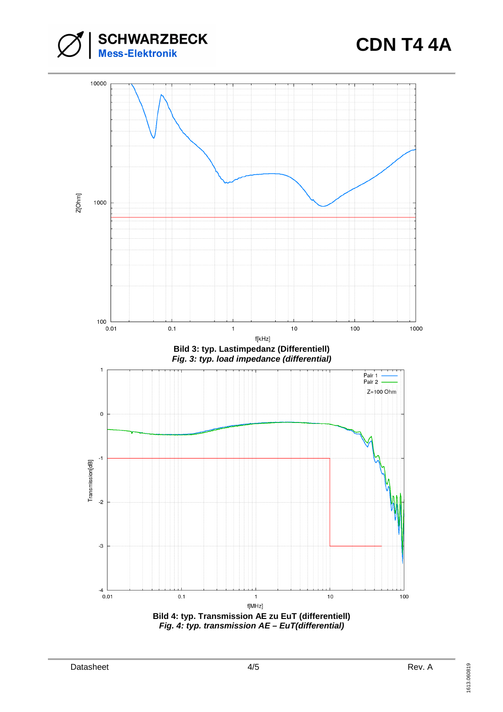